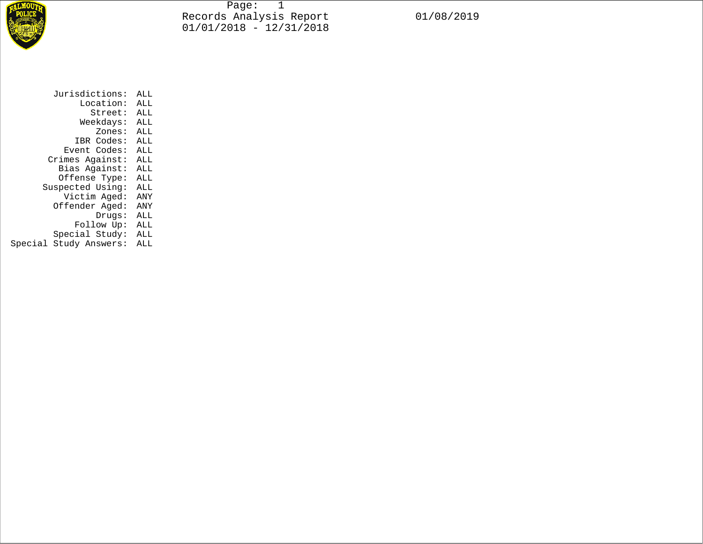

Page: 1 Records Analysis Report 01/08/2019 01/01/2018 - 12/31/2018

| Jurisdictions:         | ALL |  |  |
|------------------------|-----|--|--|
| Location:              | ALL |  |  |
| Street:                | ALL |  |  |
| Weekdays:              | ALL |  |  |
| Zones:                 | ALL |  |  |
| IBR Codes:             | ALL |  |  |
| Event Codes:           | ALL |  |  |
| Crimes Against:        | ALL |  |  |
| Bias Against:          | ALL |  |  |
| Offense Type:          | ALL |  |  |
| Suspected Using:       | ALL |  |  |
| Victim Aged:           | ANY |  |  |
| Offender Aged:         | ANY |  |  |
| Drugs:                 | ALL |  |  |
| Follow Up:             | ALL |  |  |
| Special Study:         | ALL |  |  |
| Special Study Answers: | ALL |  |  |